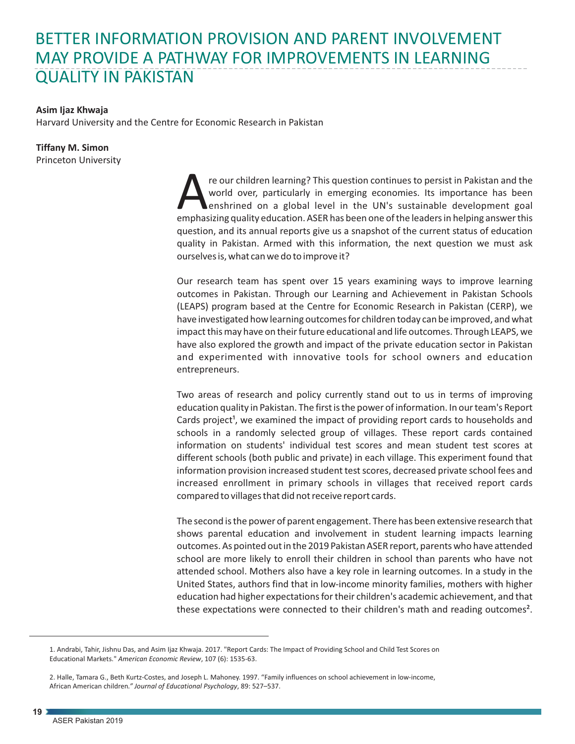## BETTER INFORMATION PROVISION AND PARENT INVOLVEMENT MAY PROVIDE A PATHWAY FOR IMPROVEMENTS IN LEARNING QUALITY IN PAKISTAN

## **Asim Ijaz Khwaja**

Harvard University and the Centre for Economic Research in Pakistan

## **Tiffany M. Simon**

Princeton University

re our children learning? This question continues to persist in Pakistan and the world over, particularly in emerging economies. Its importance has been enshrined on a global level in the UN's sustainable development goal enshrined on a global level in the UN's sustainable development goal question, and its annual reports give us a snapshot of the current status of education quality in Pakistan. Armed with this information, the next question we must ask ourselves is, what can we do to improve it?

Our research team has spent over 15 years examining ways to improve learning outcomes in Pakistan. Through our Learning and Achievement in Pakistan Schools (LEAPS) program based at the Centre for Economic Research in Pakistan (CERP), we have investigated how learning outcomes for children today can be improved, and what impact this may have on their future educational and life outcomes. Through LEAPS, we have also explored the growth and impact of the private education sector in Pakistan and experimented with innovative tools for school owners and education entrepreneurs.

Two areas of research and policy currently stand out to us in terms of improving education quality in Pakistan. The first is the power of information. In our team's Report Cards project<sup>1</sup>, we examined the impact of providing report cards to households and schools in a randomly selected group of villages. These report cards contained information on students' individual test scores and mean student test scores at different schools (both public and private) in each village. This experiment found that information provision increased student test scores, decreased private school fees and increased enrollment in primary schools in villages that received report cards compared to villages that did not receive report cards.

The second is the power of parent engagement. There has been extensive research that shows parental education and involvement in student learning impacts learning outcomes. As pointed out in the 2019 Pakistan ASER report, parents who have attended school are more likely to enroll their children in school than parents who have not attended school. Mothers also have a key role in learning outcomes. In a study in the United States, authors find that in low-income minority families, mothers with higher education had higher expectations for their children's academic achievement, and that these expectations were connected to their children's math and reading outcomes².

<sup>1.</sup> Andrabi, Tahir, Jishnu Das, and Asim Ijaz Khwaja. 2017. "Report Cards: The Impact of Providing School and Child Test Scores on Educational Markets." *American Economic Review*, 107 (6): 1535-63.

<sup>2.</sup> Halle, Tamara G., Beth Kurtz-Costes, and Joseph L. Mahoney. 1997. "Family influences on school achievement in low-income, African American children*." Journal of Educational Psychology*, 89: 527–537.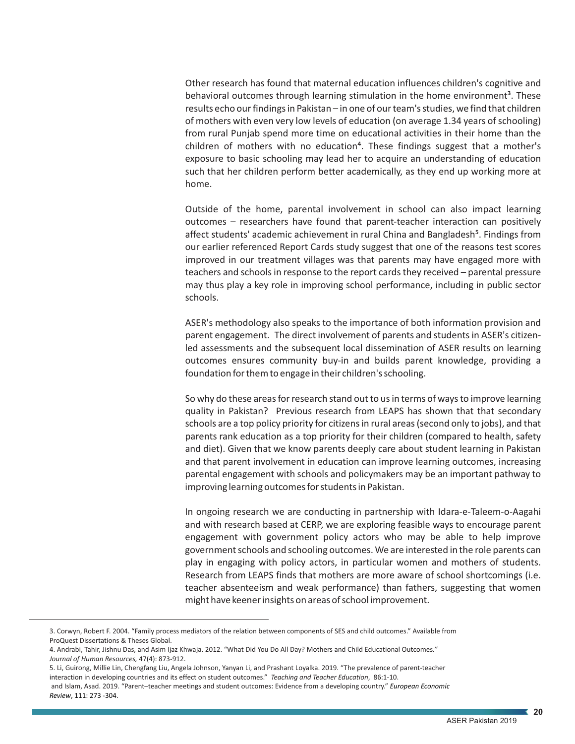Other research has found that maternal education influences children's cognitive and behavioral outcomes through learning stimulation in the home environment<sup>3</sup>. These results echo our findings in Pakistan – in one of our team's studies, we find that children of mothers with even very low levels of education (on average 1.34 years of schooling) from rural Punjab spend more time on educational activities in their home than the children of mothers with no education<sup>4</sup>. These findings suggest that a mother's exposure to basic schooling may lead her to acquire an understanding of education such that her children perform better academically, as they end up working more at home.

Outside of the home, parental involvement in school can also impact learning outcomes – researchers have found that parent-teacher interaction can positively affect students' academic achievement in rural China and Bangladesh<sup>5</sup>. Findings from our earlier referenced Report Cards study suggest that one of the reasons test scores improved in our treatment villages was that parents may have engaged more with teachers and schools in response to the report cards they received – parental pressure may thus play a key role in improving school performance, including in public sector schools.

ASER's methodology also speaks to the importance of both information provision and parent engagement. The direct involvement of parents and students in ASER's citizenled assessments and the subsequent local dissemination of ASER results on learning outcomes ensures community buy-in and builds parent knowledge, providing a foundation for them to engage in their children's schooling.

So why do these areas for research stand out to us in terms of ways to improve learning quality in Pakistan? Previous research from LEAPS has shown that that secondary schools are a top policy priority for citizens in rural areas (second only to jobs), and that parents rank education as a top priority for their children (compared to health, safety and diet). Given that we know parents deeply care about student learning in Pakistan and that parent involvement in education can improve learning outcomes, increasing parental engagement with schools and policymakers may be an important pathway to improving learning outcomes for students in Pakistan.

In ongoing research we are conducting in partnership with Idara-e-Taleem-o-Aagahi and with research based at CERP, we are exploring feasible ways to encourage parent engagement with government policy actors who may be able to help improve government schools and schooling outcomes. We are interested in the role parents can play in engaging with policy actors, in particular women and mothers of students. Research from LEAPS finds that mothers are more aware of school shortcomings (i.e. teacher absenteeism and weak performance) than fathers, suggesting that women might have keener insights on areas of school improvement.

 and Islam, Asad. 2019. "Parent–teacher meetings and student outcomes: Evidence from a developing country." *European Economic Review*, 111: 273 -304.

<sup>3.</sup> Corwyn, Robert F. 2004. "Family process mediators of the relation between components of SES and child outcomes." Available from ProQuest Dissertations & Theses Global.

<sup>4.</sup> Andrabi, Tahir, Jishnu Das, and Asim Ijaz Khwaja. 2012. "What Did You Do All Day? Mothers and Child Educational Outcomes*." Journal of Human Resources,* 47(4): 873-912.

<sup>5.</sup> Li, Guirong, Millie Lin, Chengfang Liu, Angela Johnson, Yanyan Li, and Prashant Loyalka. 2019. "The prevalence of parent-teacher interaction in developing countries and its effect on student outcomes." *Teaching and Teacher Education*, 86:1-10.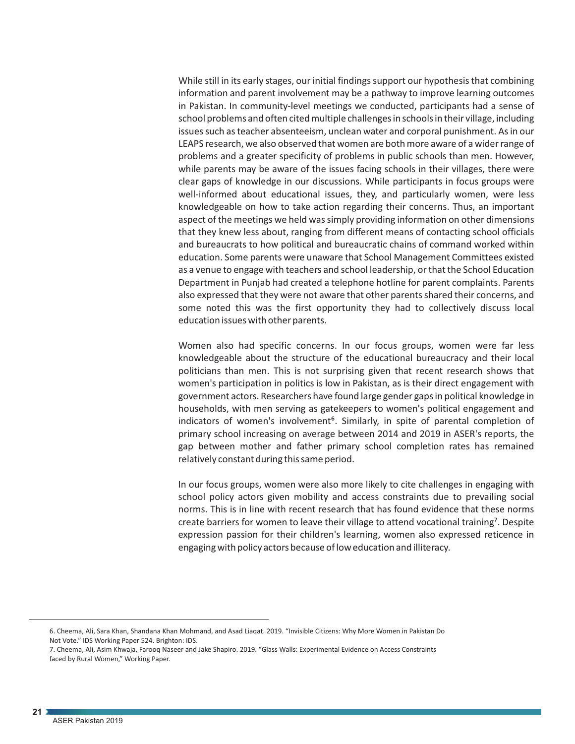While still in its early stages, our initial findings support our hypothesis that combining information and parent involvement may be a pathway to improve learning outcomes in Pakistan. In community-level meetings we conducted, participants had a sense of school problems and often cited multiple challenges in schools in their village, including issues such as teacher absenteeism, unclean water and corporal punishment. As in our LEAPS research, we also observed that women are both more aware of a wider range of problems and a greater specificity of problems in public schools than men. However, while parents may be aware of the issues facing schools in their villages, there were clear gaps of knowledge in our discussions. While participants in focus groups were well-informed about educational issues, they, and particularly women, were less knowledgeable on how to take action regarding their concerns. Thus, an important aspect of the meetings we held was simply providing information on other dimensions that they knew less about, ranging from different means of contacting school officials and bureaucrats to how political and bureaucratic chains of command worked within education. Some parents were unaware that School Management Committees existed as a venue to engage with teachers and school leadership, or that the School Education Department in Punjab had created a telephone hotline for parent complaints. Parents also expressed that they were not aware that other parents shared their concerns, and some noted this was the first opportunity they had to collectively discuss local education issues with other parents.

Women also had specific concerns. In our focus groups, women were far less knowledgeable about the structure of the educational bureaucracy and their local politicians than men. This is not surprising given that recent research shows that women's participation in politics is low in Pakistan, as is their direct engagement with government actors. Researchers have found large gender gaps in political knowledge in households, with men serving as gatekeepers to women's political engagement and indicators of women's involvement<sup>6</sup>. Similarly, in spite of parental completion of primary school increasing on average between 2014 and 2019 in ASER's reports, the gap between mother and father primary school completion rates has remained relatively constant during this same period.

In our focus groups, women were also more likely to cite challenges in engaging with school policy actors given mobility and access constraints due to prevailing social norms. This is in line with recent research that has found evidence that these norms create barriers for women to leave their village to attend vocational training<sup>7</sup>. Despite expression passion for their children's learning, women also expressed reticence in engaging with policy actors because of low education and illiteracy.

<sup>6.</sup> Cheema, Ali, Sara Khan, Shandana Khan Mohmand, and Asad Liaqat. 2019. "Invisible Citizens: Why More Women in Pakistan Do Not Vote." IDS Working Paper 524. Brighton: IDS.

<sup>7.</sup> Cheema, Ali, Asim Khwaja, Farooq Naseer and Jake Shapiro. 2019. "Glass Walls: Experimental Evidence on Access Constraints faced by Rural Women," Working Paper.